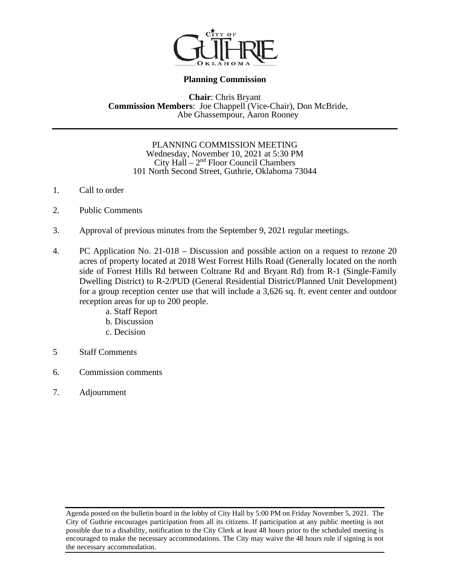

## **Planning Commission**

## **Chair: Chris Bryant <b>Commission Members**: Joe Chappell (Vice-Chair), Don McBride, Abe Ghassempour, Aaron Rooney

#### PLANNING COMMISSION MEETING Wednesday, November 10, 2021 at 5:30 PM City Hall  $-2<sup>nd</sup>$  Floor Council Chambers 101 North Second Street, Guthrie, Oklahoma 73044

- 1. Call to order
- 2. Public Comments
- 3. Approval of previous minutes from the September 9, 2021 regular meetings.
- 4. PC Application No. 21-018 Discussion and possible action on a request to rezone 20 acres of property located at 2018 West Forrest Hills Road (Generally located on the north side of Forrest Hills Rd between Coltrane Rd and Bryant Rd) from R-1 (Single-Family Dwelling District) to R-2/PUD (General Residential District/Planned Unit Development) for a group reception center use that will include a 3,626 sq. ft. event center and outdoor reception areas for up to 200 people.
	- a. Staff Report
	- b. Discussion
	- c. Decision
- 5 Staff Comments
- 6. Commission comments
- 7. Adjournment

Agenda posted on the bulletin board in the lobby of City Hall by 5:00 PM on Friday November 5, 2021. The City of Guthrie encourages participation from all its citizens. If participation at any public meeting is not possible due to a disability, notification to the City Clerk at least 48 hours prior to the scheduled meeting is encouraged to make the necessary accommodations. The City may waive the 48 hours rule if signing is not the necessary accommodation.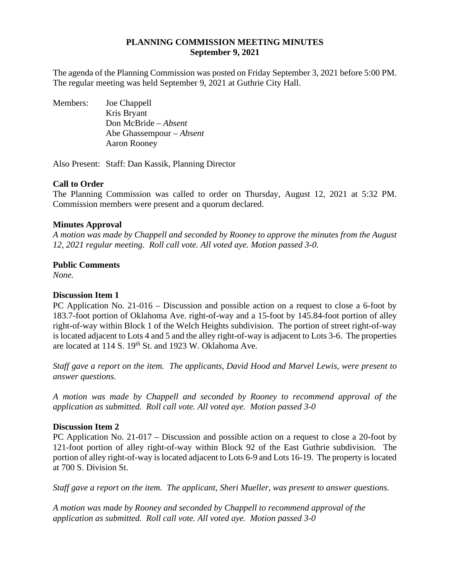## **PLANNING COMMISSION MEETING MINUTES September 9, 2021**

The agenda of the Planning Commission was posted on Friday September 3, 2021 before 5:00 PM. The regular meeting was held September 9, 2021 at Guthrie City Hall.

Members: Joe Chappell Kris Bryant Don McBride – *Absent* Abe Ghassempour *– Absent* Aaron Rooney

Also Present: Staff: Dan Kassik, Planning Director

## **Call to Order**

The Planning Commission was called to order on Thursday, August 12, 2021 at 5:32 PM. Commission members were present and a quorum declared.

## **Minutes Approval**

*A motion was made by Chappell and seconded by Rooney to approve the minutes from the August 12, 2021 regular meeting. Roll call vote. All voted aye. Motion passed 3-0.* 

## **Public Comments**

*None.* 

## **Discussion Item 1**

PC Application No. 21-016 – Discussion and possible action on a request to close a 6-foot by 183.7-foot portion of Oklahoma Ave. right-of-way and a 15-foot by 145.84-foot portion of alley right-of-way within Block 1 of the Welch Heights subdivision. The portion of street right-of-way is located adjacent to Lots 4 and 5 and the alley right-of-way is adjacent to Lots 3-6. The properties are located at 114 S. 19<sup>th</sup> St. and 1923 W. Oklahoma Ave.

*Staff gave a report on the item. The applicants, David Hood and Marvel Lewis, were present to answer questions.* 

*A motion was made by Chappell and seconded by Rooney to recommend approval of the application as submitted. Roll call vote. All voted aye. Motion passed 3-0* 

## **Discussion Item 2**

PC Application No. 21-017 – Discussion and possible action on a request to close a 20-foot by 121-foot portion of alley right-of-way within Block 92 of the East Guthrie subdivision. The portion of alley right-of-way is located adjacent to Lots 6-9 and Lots 16-19. The property is located at 700 S. Division St.

*Staff gave a report on the item. The applicant, Sheri Mueller, was present to answer questions.* 

*A motion was made by Rooney and seconded by Chappell to recommend approval of the application as submitted. Roll call vote. All voted aye. Motion passed 3-0*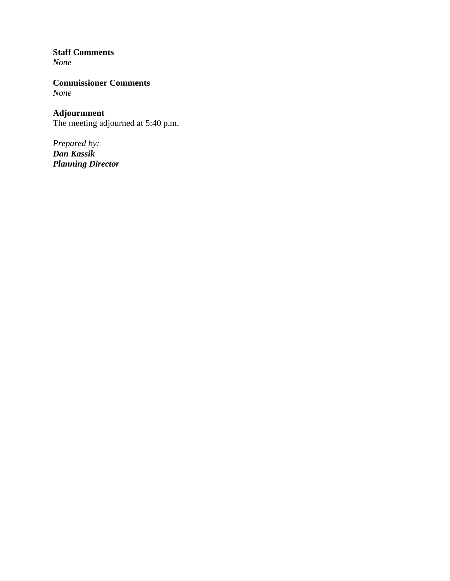## **Staff Comments**

*None* 

**Commissioner Comments** *None* 

**Adjournment** The meeting adjourned at 5:40 p.m.

*Prepared by: Dan Kassik Planning Director*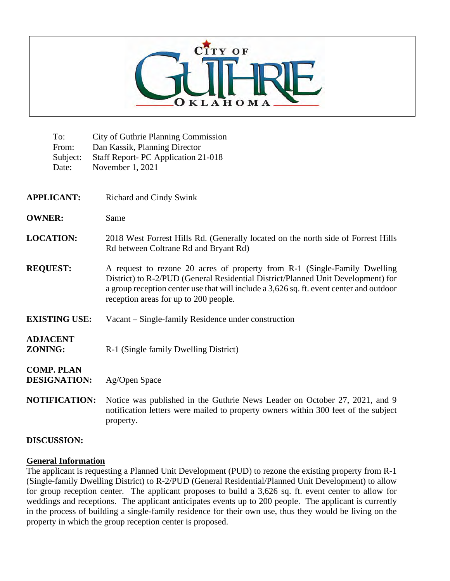

| To:<br>From:<br>Subject:<br>Date:        | <b>City of Guthrie Planning Commission</b><br>Dan Kassik, Planning Director<br>Staff Report- PC Application 21-018<br>November 1, 2021                                                                                                                                                            |
|------------------------------------------|---------------------------------------------------------------------------------------------------------------------------------------------------------------------------------------------------------------------------------------------------------------------------------------------------|
| <b>APPLICANT:</b>                        | Richard and Cindy Swink                                                                                                                                                                                                                                                                           |
| <b>OWNER:</b>                            | Same                                                                                                                                                                                                                                                                                              |
| <b>LOCATION:</b>                         | 2018 West Forrest Hills Rd. (Generally located on the north side of Forrest Hills<br>Rd between Coltrane Rd and Bryant Rd)                                                                                                                                                                        |
| <b>REQUEST:</b>                          | A request to rezone 20 acres of property from R-1 (Single-Family Dwelling<br>District) to R-2/PUD (General Residential District/Planned Unit Development) for<br>a group reception center use that will include a 3,626 sq. ft. event center and outdoor<br>reception areas for up to 200 people. |
| <b>EXISTING USE:</b>                     | Vacant - Single-family Residence under construction                                                                                                                                                                                                                                               |
| <b>ADJACENT</b><br><b>ZONING:</b>        | R-1 (Single family Dwelling District)                                                                                                                                                                                                                                                             |
| <b>COMP. PLAN</b><br><b>DESIGNATION:</b> | Ag/Open Space                                                                                                                                                                                                                                                                                     |
| <b>NOTIFICATION:</b>                     | Notice was published in the Guthrie News Leader on October 27, 2021, and 9<br>notification letters were mailed to property owners within 300 feet of the subject<br>property.                                                                                                                     |

## **DISCUSSION:**

## **General Information**

The applicant is requesting a Planned Unit Development (PUD) to rezone the existing property from R-1 (Single-family Dwelling District) to R-2/PUD (General Residential/Planned Unit Development) to allow for group reception center. The applicant proposes to build a 3,626 sq. ft. event center to allow for weddings and receptions. The applicant anticipates events up to 200 people. The applicant is currently in the process of building a single-family residence for their own use, thus they would be living on the property in which the group reception center is proposed.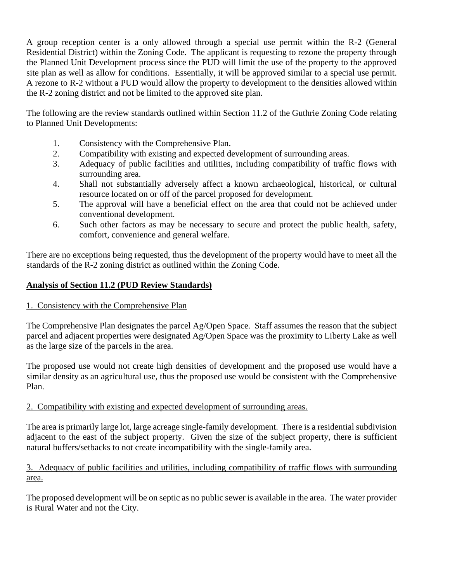A group reception center is a only allowed through a special use permit within the R-2 (General Residential District) within the Zoning Code. The applicant is requesting to rezone the property through the Planned Unit Development process since the PUD will limit the use of the property to the approved site plan as well as allow for conditions. Essentially, it will be approved similar to a special use permit. A rezone to R-2 without a PUD would allow the property to development to the densities allowed within the R-2 zoning district and not be limited to the approved site plan.

The following are the review standards outlined within Section 11.2 of the Guthrie Zoning Code relating to Planned Unit Developments:

- 1. Consistency with the Comprehensive Plan.
- 2. Compatibility with existing and expected development of surrounding areas.
- 3. Adequacy of public facilities and utilities, including compatibility of traffic flows with surrounding area.
- 4. Shall not substantially adversely affect a known archaeological, historical, or cultural resource located on or off of the parcel proposed for development.
- 5. The approval will have a beneficial effect on the area that could not be achieved under conventional development.
- 6. Such other factors as may be necessary to secure and protect the public health, safety, comfort, convenience and general welfare.

There are no exceptions being requested, thus the development of the property would have to meet all the standards of the R-2 zoning district as outlined within the Zoning Code.

## **Analysis of Section 11.2 (PUD Review Standards)**

## 1. Consistency with the Comprehensive Plan

The Comprehensive Plan designates the parcel Ag/Open Space. Staff assumes the reason that the subject parcel and adjacent properties were designated Ag/Open Space was the proximity to Liberty Lake as well as the large size of the parcels in the area.

The proposed use would not create high densities of development and the proposed use would have a similar density as an agricultural use, thus the proposed use would be consistent with the Comprehensive Plan.

## 2. Compatibility with existing and expected development of surrounding areas.

The area is primarily large lot, large acreage single-family development. There is a residential subdivision adjacent to the east of the subject property. Given the size of the subject property, there is sufficient natural buffers/setbacks to not create incompatibility with the single-family area.

## 3. Adequacy of public facilities and utilities, including compatibility of traffic flows with surrounding area.

The proposed development will be on septic as no public sewer is available in the area. The water provider is Rural Water and not the City.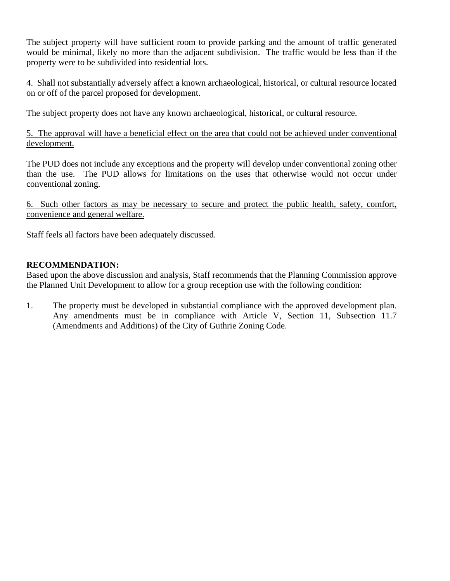The subject property will have sufficient room to provide parking and the amount of traffic generated would be minimal, likely no more than the adjacent subdivision. The traffic would be less than if the property were to be subdivided into residential lots.

4. Shall not substantially adversely affect a known archaeological, historical, or cultural resource located on or off of the parcel proposed for development.

The subject property does not have any known archaeological, historical, or cultural resource.

5. The approval will have a beneficial effect on the area that could not be achieved under conventional development.

The PUD does not include any exceptions and the property will develop under conventional zoning other than the use. The PUD allows for limitations on the uses that otherwise would not occur under conventional zoning.

6. Such other factors as may be necessary to secure and protect the public health, safety, comfort, convenience and general welfare.

Staff feels all factors have been adequately discussed.

## **RECOMMENDATION:**

Based upon the above discussion and analysis, Staff recommends that the Planning Commission approve the Planned Unit Development to allow for a group reception use with the following condition:

1. The property must be developed in substantial compliance with the approved development plan. Any amendments must be in compliance with Article V, Section 11, Subsection 11.7 (Amendments and Additions) of the City of Guthrie Zoning Code.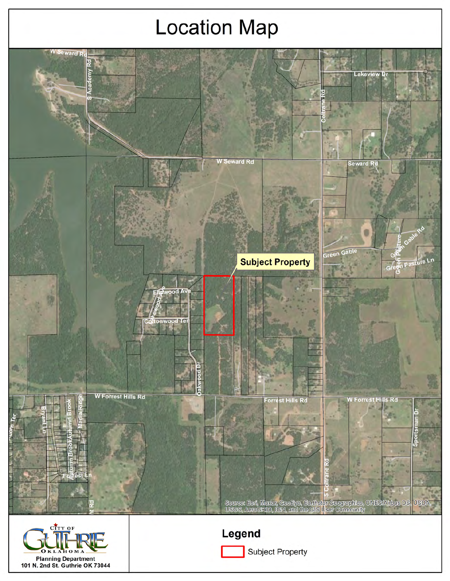# **Location Map**

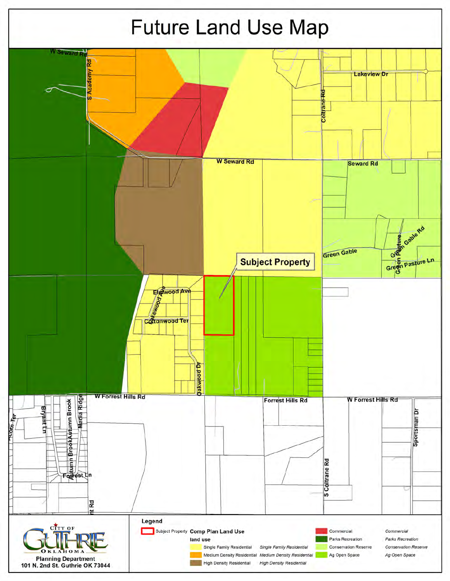![](_page_7_Figure_0.jpeg)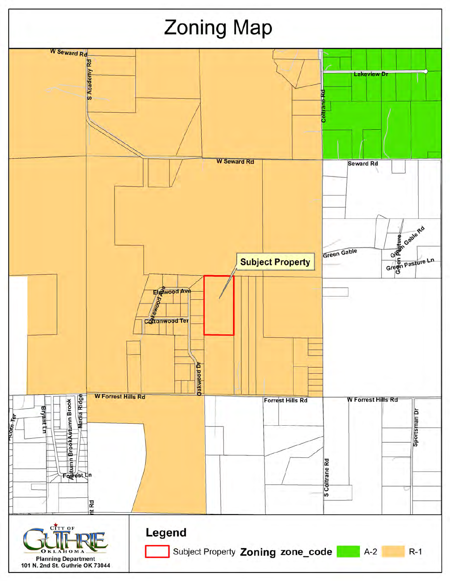![](_page_8_Figure_0.jpeg)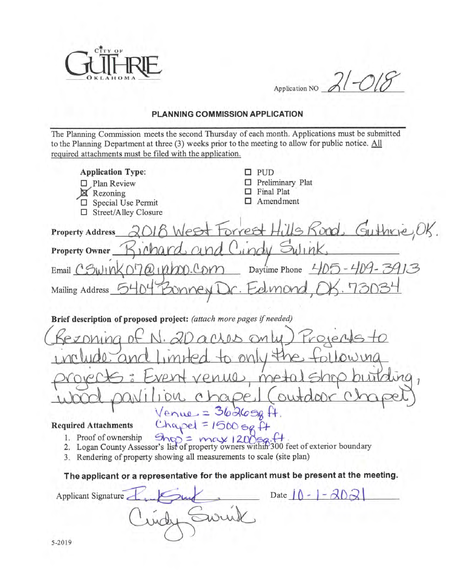![](_page_9_Picture_0.jpeg)

 $21 - 215$ Application NO

## PLANNING COMMISSION APPLICATION

The Planning Commission meets the second Thursday of each month. Applications must be submitted to the Planning Department at three (3) weeks prior to the meeting to allow for public notice. All required attachments must be filed with the application.

| <b>Application Type:</b><br><b>PUD</b><br>Preliminary Plat<br>□ Plan Review<br>Final Plat<br>Rezoning<br>Amendment<br>Special Use Permit<br>□ Street/Alley Closure                                                      |
|-------------------------------------------------------------------------------------------------------------------------------------------------------------------------------------------------------------------------|
| ills Kond Guthrie<br>West Forrest<br><b>Property Address</b>                                                                                                                                                            |
| Q<br>$C_{M}$<br><b>Property Owner</b>                                                                                                                                                                                   |
| $70$ $(400)$ $^{\circ}$ Orro Daytime Phone<br>$Email$ $C5W1W$                                                                                                                                                           |
| -elmor<br>Yew<br>Mailing Address                                                                                                                                                                                        |
|                                                                                                                                                                                                                         |
| Brief description of proposed project: (attach more pages if needed)                                                                                                                                                    |
| ZDarios<br>Project                                                                                                                                                                                                      |
| $\overline{y}$                                                                                                                                                                                                          |
| venue meta                                                                                                                                                                                                              |
| outdoor                                                                                                                                                                                                                 |
| $V$ enue = $362696$                                                                                                                                                                                                     |
| $Chapei = 1500$ sq. $H$<br><b>Required Attachments</b>                                                                                                                                                                  |
| 1. Proof of ownership $\frac{120056}{120056}$ . (+<br>2. Logan County Assessor's list of property owners within 300 feet of exterior boundary<br>3. Rendering of property showing all measurements to scale (site plan) |
| The applicant or a representative for the applicant must be present at the meeting.                                                                                                                                     |
| Date $\bigcap$ -<br>Applicant Signature                                                                                                                                                                                 |
|                                                                                                                                                                                                                         |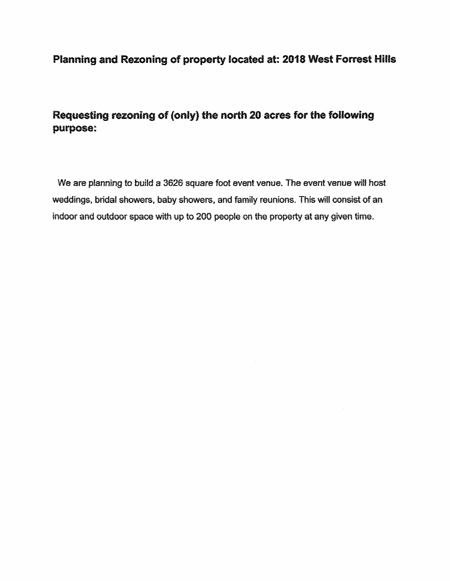## Planning and Rezoning of property located at: 2018 West Forrest Hills

Requesting rezoning of (only) the north 20 acres for the following purpose:

We are planning to build a 3626 square foot event venue. The event venue will host weddings, bridal showers, baby showers, and family reunions. This will consist of an indoor and outdoor space with up to 200 people on the property at any given time.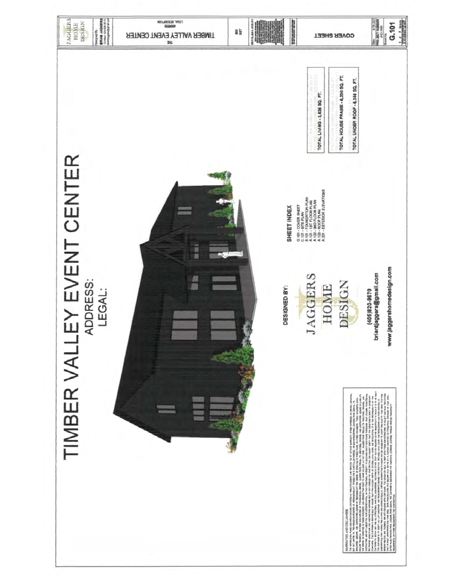![](_page_11_Picture_0.jpeg)